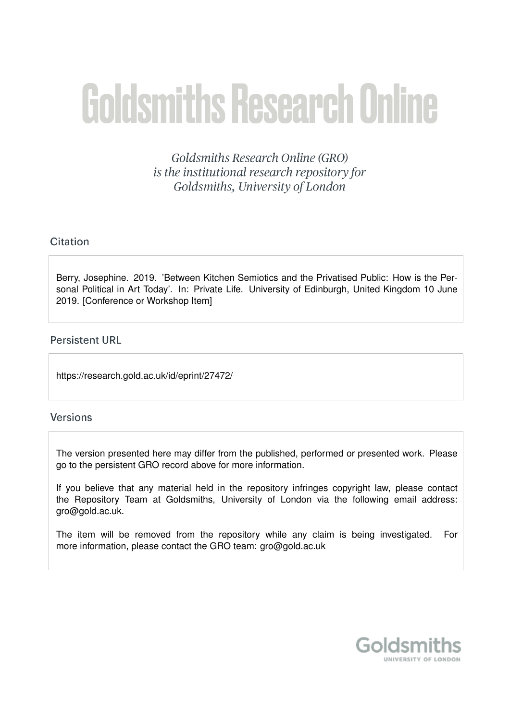## **Goldsmiths Research Online**

Goldsmiths Research Online (GRO) is the institutional research repository for Goldsmiths, University of London

## Citation

Berry, Josephine. 2019. 'Between Kitchen Semiotics and the Privatised Public: How is the Personal Political in Art Today'. In: Private Life. University of Edinburgh, United Kingdom 10 June 2019. [Conference or Workshop Item]

## **Persistent URL**

https://research.gold.ac.uk/id/eprint/27472/

## **Versions**

The version presented here may differ from the published, performed or presented work. Please go to the persistent GRO record above for more information.

If you believe that any material held in the repository infringes copyright law, please contact the Repository Team at Goldsmiths, University of London via the following email address: gro@gold.ac.uk.

The item will be removed from the repository while any claim is being investigated. For more information, please contact the GRO team: gro@gold.ac.uk

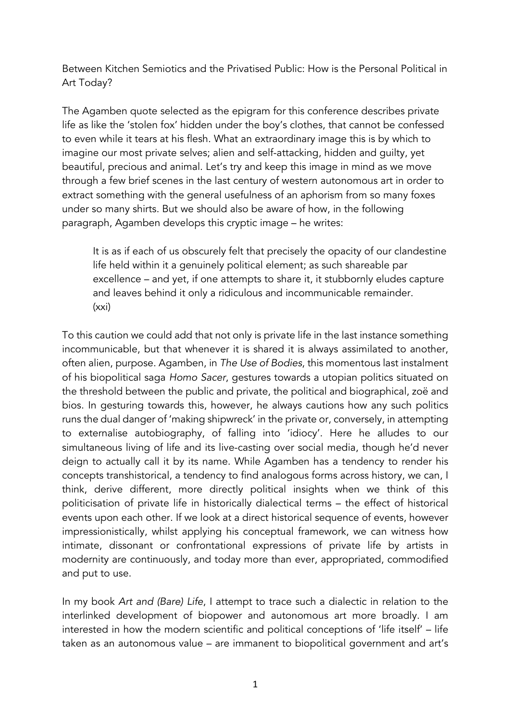Between Kitchen Semiotics and the Privatised Public: How is the Personal Political in Art Today?

The Agamben quote selected as the epigram for this conference describes private life as like the 'stolen fox' hidden under the boy's clothes, that cannot be confessed to even while it tears at his flesh. What an extraordinary image this is by which to imagine our most private selves; alien and self-attacking, hidden and guilty, yet beautiful, precious and animal. Let's try and keep this image in mind as we move through a few brief scenes in the last century of western autonomous art in order to extract something with the general usefulness of an aphorism from so many foxes under so many shirts. But we should also be aware of how, in the following paragraph, Agamben develops this cryptic image – he writes:

It is as if each of us obscurely felt that precisely the opacity of our clandestine life held within it a genuinely political element; as such shareable par excellence – and yet, if one attempts to share it, it stubbornly eludes capture and leaves behind it only a ridiculous and incommunicable remainder. (xxi)

To this caution we could add that not only is private life in the last instance something incommunicable, but that whenever it is shared it is always assimilated to another, often alien, purpose. Agamben, in *The Use of Bodies*, this momentous last instalment of his biopolitical saga *Homo Sacer*, gestures towards a utopian politics situated on the threshold between the public and private, the political and biographical, zoë and bios. In gesturing towards this, however, he always cautions how any such politics runs the dual danger of 'making shipwreck' in the private or, conversely, in attempting to externalise autobiography, of falling into 'idiocy'. Here he alludes to our simultaneous living of life and its live-casting over social media, though he'd never deign to actually call it by its name. While Agamben has a tendency to render his concepts transhistorical, a tendency to find analogous forms across history, we can, I think, derive different, more directly political insights when we think of this politicisation of private life in historically dialectical terms – the effect of historical events upon each other. If we look at a direct historical sequence of events, however impressionistically, whilst applying his conceptual framework, we can witness how intimate, dissonant or confrontational expressions of private life by artists in modernity are continuously, and today more than ever, appropriated, commodified and put to use.

In my book *Art and (Bare) Life*, I attempt to trace such a dialectic in relation to the interlinked development of biopower and autonomous art more broadly. I am interested in how the modern scientific and political conceptions of 'life itself' – life taken as an autonomous value – are immanent to biopolitical government and art's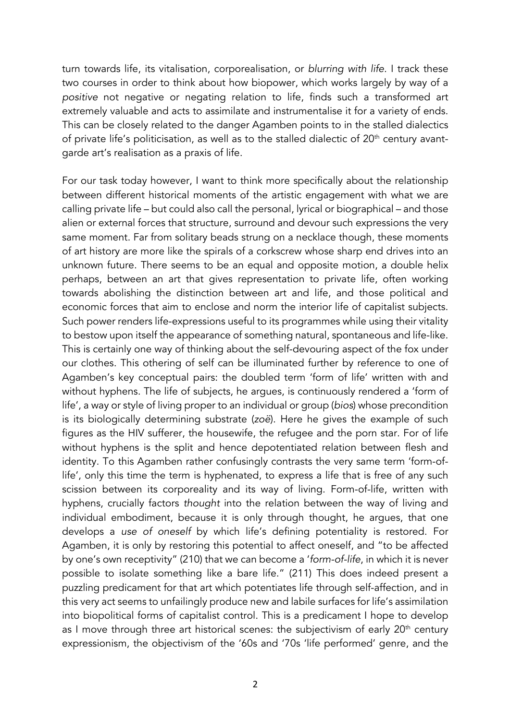turn towards life, its vitalisation, corporealisation, or *blurring with life*. I track these two courses in order to think about how biopower, which works largely by way of a *positive* not negative or negating relation to life, finds such a transformed art extremely valuable and acts to assimilate and instrumentalise it for a variety of ends. This can be closely related to the danger Agamben points to in the stalled dialectics of private life's politicisation, as well as to the stalled dialectic of  $20<sup>th</sup>$  century avantgarde art's realisation as a praxis of life.

For our task today however, I want to think more specifically about the relationship between different historical moments of the artistic engagement with what we are calling private life – but could also call the personal, lyrical or biographical – and those alien or external forces that structure, surround and devour such expressions the very same moment. Far from solitary beads strung on a necklace though, these moments of art history are more like the spirals of a corkscrew whose sharp end drives into an unknown future. There seems to be an equal and opposite motion, a double helix perhaps, between an art that gives representation to private life, often working towards abolishing the distinction between art and life, and those political and economic forces that aim to enclose and norm the interior life of capitalist subjects. Such power renders life-expressions useful to its programmes while using their vitality to bestow upon itself the appearance of something natural, spontaneous and life-like. This is certainly one way of thinking about the self-devouring aspect of the fox under our clothes. This othering of self can be illuminated further by reference to one of Agamben's key conceptual pairs: the doubled term 'form of life' written with and without hyphens. The life of subjects, he argues, is continuously rendered a 'form of life', a way or style of living proper to an individual or group (*bios*) whose precondition is its biologically determining substrate (*zoë*). Here he gives the example of such figures as the HIV sufferer, the housewife, the refugee and the porn star. For of life without hyphens is the split and hence depotentiated relation between flesh and identity. To this Agamben rather confusingly contrasts the very same term 'form-oflife', only this time the term is hyphenated, to express a life that is free of any such scission between its corporeality and its way of living. Form-of-life, written with hyphens, crucially factors *thought* into the relation between the way of living and individual embodiment, because it is only through thought, he argues, that one develops a *use of oneself* by which life's defining potentiality is restored. For Agamben, it is only by restoring this potential to affect oneself, and "to be affected by one's own receptivity" (210) that we can become a '*form-of-life*, in which it is never possible to isolate something like a bare life." (211) This does indeed present a puzzling predicament for that art which potentiates life through self-affection, and in this very act seems to unfailingly produce new and labile surfaces for life's assimilation into biopolitical forms of capitalist control. This is a predicament I hope to develop as I move through three art historical scenes: the subjectivism of early  $20<sup>th</sup>$  century expressionism, the objectivism of the '60s and '70s 'life performed' genre, and the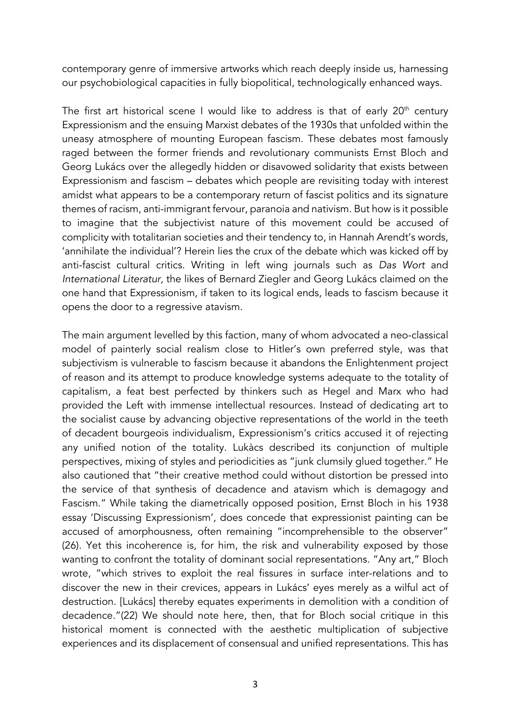contemporary genre of immersive artworks which reach deeply inside us, harnessing our psychobiological capacities in fully biopolitical, technologically enhanced ways.

The first art historical scene I would like to address is that of early  $20<sup>th</sup>$  century Expressionism and the ensuing Marxist debates of the 1930s that unfolded within the uneasy atmosphere of mounting European fascism. These debates most famously raged between the former friends and revolutionary communists Ernst Bloch and Georg Lukács over the allegedly hidden or disavowed solidarity that exists between Expressionism and fascism – debates which people are revisiting today with interest amidst what appears to be a contemporary return of fascist politics and its signature themes of racism, anti-immigrant fervour, paranoia and nativism. But how is it possible to imagine that the subjectivist nature of this movement could be accused of complicity with totalitarian societies and their tendency to, in Hannah Arendt's words, 'annihilate the individual'? Herein lies the crux of the debate which was kicked off by anti-fascist cultural critics. Writing in left wing journals such as *Das Wort* and *International Literatur,* the likes of Bernard Ziegler and Georg Lukács claimed on the one hand that Expressionism, if taken to its logical ends, leads to fascism because it opens the door to a regressive atavism.

The main argument levelled by this faction, many of whom advocated a neo-classical model of painterly social realism close to Hitler's own preferred style, was that subjectivism is vulnerable to fascism because it abandons the Enlightenment project of reason and its attempt to produce knowledge systems adequate to the totality of capitalism, a feat best perfected by thinkers such as Hegel and Marx who had provided the Left with immense intellectual resources. Instead of dedicating art to the socialist cause by advancing objective representations of the world in the teeth of decadent bourgeois individualism, Expressionism's critics accused it of rejecting any unified notion of the totality. Lukàcs described its conjunction of multiple perspectives, mixing of styles and periodicities as "junk clumsily glued together." He also cautioned that "their creative method could without distortion be pressed into the service of that synthesis of decadence and atavism which is demagogy and Fascism." While taking the diametrically opposed position, Ernst Bloch in his 1938 essay 'Discussing Expressionism', does concede that expressionist painting can be accused of amorphousness, often remaining "incomprehensible to the observer" (26). Yet this incoherence is, for him, the risk and vulnerability exposed by those wanting to confront the totality of dominant social representations. "Any art," Bloch wrote, "which strives to exploit the real fissures in surface inter-relations and to discover the new in their crevices, appears in Lukács' eyes merely as a wilful act of destruction. [Lukács] thereby equates experiments in demolition with a condition of decadence."(22) We should note here, then, that for Bloch social critique in this historical moment is connected with the aesthetic multiplication of subjective experiences and its displacement of consensual and unified representations. This has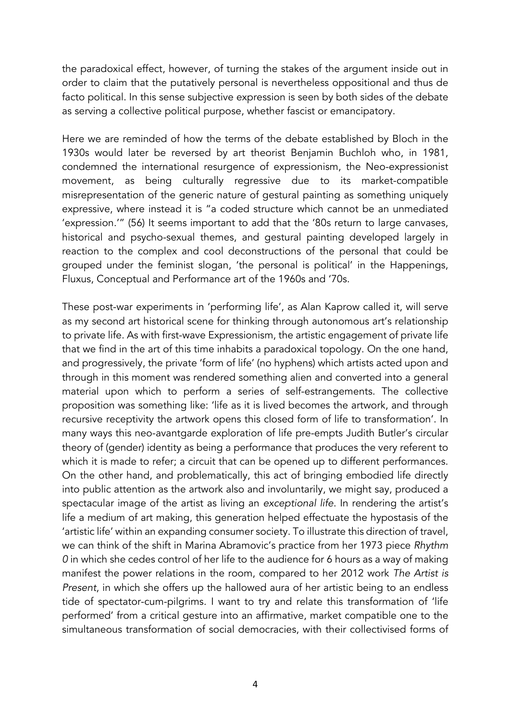the paradoxical effect, however, of turning the stakes of the argument inside out in order to claim that the putatively personal is nevertheless oppositional and thus de facto political. In this sense subjective expression is seen by both sides of the debate as serving a collective political purpose, whether fascist or emancipatory.

Here we are reminded of how the terms of the debate established by Bloch in the 1930s would later be reversed by art theorist Benjamin Buchloh who, in 1981, condemned the international resurgence of expressionism, the Neo-expressionist movement, as being culturally regressive due to its market-compatible misrepresentation of the generic nature of gestural painting as something uniquely expressive, where instead it is "a coded structure which cannot be an unmediated 'expression.'" (56) It seems important to add that the '80s return to large canvases, historical and psycho-sexual themes, and gestural painting developed largely in reaction to the complex and cool deconstructions of the personal that could be grouped under the feminist slogan, 'the personal is political' in the Happenings, Fluxus, Conceptual and Performance art of the 1960s and '70s.

These post-war experiments in 'performing life', as Alan Kaprow called it, will serve as my second art historical scene for thinking through autonomous art's relationship to private life. As with first-wave Expressionism, the artistic engagement of private life that we find in the art of this time inhabits a paradoxical topology. On the one hand, and progressively, the private 'form of life' (no hyphens) which artists acted upon and through in this moment was rendered something alien and converted into a general material upon which to perform a series of self-estrangements. The collective proposition was something like: 'life as it is lived becomes the artwork, and through recursive receptivity the artwork opens this closed form of life to transformation'. In many ways this neo-avantgarde exploration of life pre-empts Judith Butler's circular theory of (gender) identity as being a performance that produces the very referent to which it is made to refer; a circuit that can be opened up to different performances. On the other hand, and problematically, this act of bringing embodied life directly into public attention as the artwork also and involuntarily, we might say, produced a spectacular image of the artist as living an *exceptional life*. In rendering the artist's life a medium of art making, this generation helped effectuate the hypostasis of the 'artistic life' within an expanding consumer society. To illustrate this direction of travel, we can think of the shift in Marina Abramovic's practice from her 1973 piece *Rhythm 0* in which she cedes control of her life to the audience for 6 hours as a way of making manifest the power relations in the room, compared to her 2012 work *The Artist is Present*, in which she offers up the hallowed aura of her artistic being to an endless tide of spectator-cum-pilgrims. I want to try and relate this transformation of 'life performed' from a critical gesture into an affirmative, market compatible one to the simultaneous transformation of social democracies, with their collectivised forms of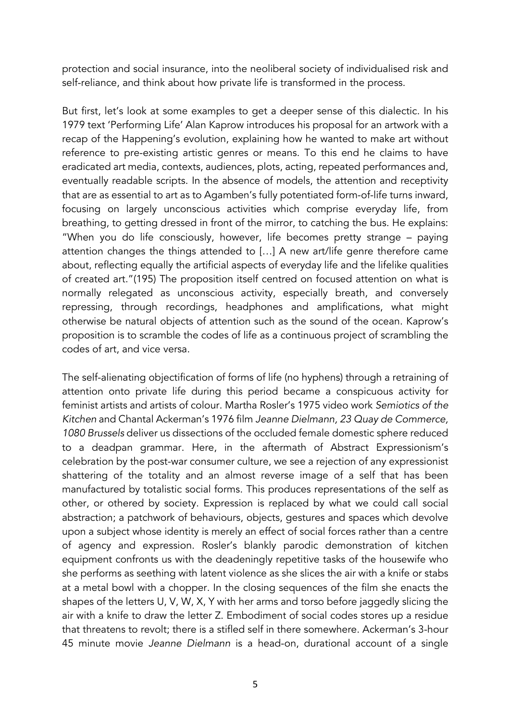protection and social insurance, into the neoliberal society of individualised risk and self-reliance, and think about how private life is transformed in the process.

But first, let's look at some examples to get a deeper sense of this dialectic. In his 1979 text 'Performing Life' Alan Kaprow introduces his proposal for an artwork with a recap of the Happening's evolution, explaining how he wanted to make art without reference to pre-existing artistic genres or means. To this end he claims to have eradicated art media, contexts, audiences, plots, acting, repeated performances and, eventually readable scripts. In the absence of models, the attention and receptivity that are as essential to art as to Agamben's fully potentiated form-of-life turns inward, focusing on largely unconscious activities which comprise everyday life, from breathing, to getting dressed in front of the mirror, to catching the bus. He explains: "When you do life consciously, however, life becomes pretty strange – paying attention changes the things attended to […] A new art/life genre therefore came about, reflecting equally the artificial aspects of everyday life and the lifelike qualities of created art."(195) The proposition itself centred on focused attention on what is normally relegated as unconscious activity, especially breath, and conversely repressing, through recordings, headphones and amplifications, what might otherwise be natural objects of attention such as the sound of the ocean. Kaprow's proposition is to scramble the codes of life as a continuous project of scrambling the codes of art, and vice versa.

The self-alienating objectification of forms of life (no hyphens) through a retraining of attention onto private life during this period became a conspicuous activity for feminist artists and artists of colour. Martha Rosler's 1975 video work *Semiotics of the Kitchen* and Chantal Ackerman's 1976 film *Jeanne Dielmann, 23 Quay de Commerce, 1080 Brussels* deliver us dissections of the occluded female domestic sphere reduced to a deadpan grammar. Here, in the aftermath of Abstract Expressionism's celebration by the post-war consumer culture, we see a rejection of any expressionist shattering of the totality and an almost reverse image of a self that has been manufactured by totalistic social forms. This produces representations of the self as other, or othered by society. Expression is replaced by what we could call social abstraction; a patchwork of behaviours, objects, gestures and spaces which devolve upon a subject whose identity is merely an effect of social forces rather than a centre of agency and expression. Rosler's blankly parodic demonstration of kitchen equipment confronts us with the deadeningly repetitive tasks of the housewife who she performs as seething with latent violence as she slices the air with a knife or stabs at a metal bowl with a chopper. In the closing sequences of the film she enacts the shapes of the letters U, V, W, X, Y with her arms and torso before jaggedly slicing the air with a knife to draw the letter Z. Embodiment of social codes stores up a residue that threatens to revolt; there is a stifled self in there somewhere. Ackerman's 3-hour 45 minute movie *Jeanne Dielmann* is a head-on, durational account of a single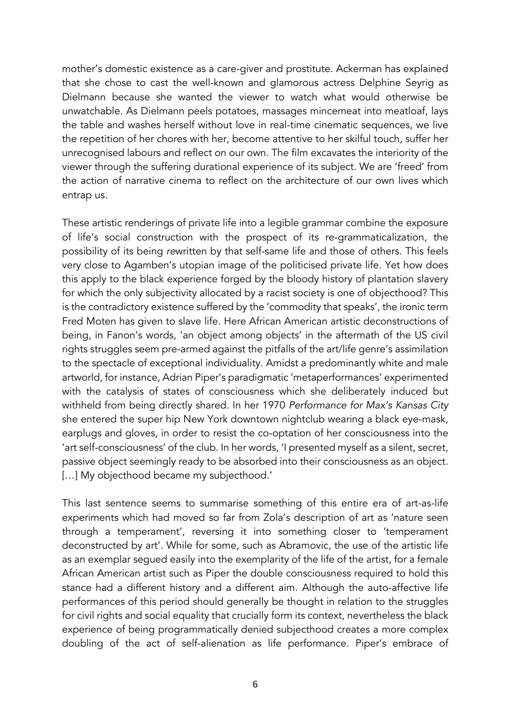mother's domestic existence as a care-giver and prostitute. Ackerman has explained that she chose to cast the well-known and glamorous actress Delphine Seyrig as Dielmann because she wanted the viewer to watch what would otherwise be unwatchable. As Dielmann peels potatoes, massages mincemeat into meatloaf, lays the table and washes herself without love in real-time cinematic sequences, we live the repetition of her chores with her, become attentive to her skilful touch, suffer her unrecognised labours and reflect on our own. The film excavates the interiority of the viewer through the suffering durational experience of its subject. We are 'freed' from the action of narrative cinema to reflect on the architecture of our own lives which entrap us.

These artistic renderings of private life into a legible grammar combine the exposure of life's social construction with the prospect of its re-grammaticalization, the possibility of its being *re*written by that self-same life and those of others. This feels very close to Agamben's utopian image of the politicised private life. Yet how does this apply to the black experience forged by the bloody history of plantation slavery for which the only subjectivity allocated by a racist society is one of objecthood? This is the contradictory existence suffered by the 'commodity that speaks', the ironic term Fred Moten has given to slave life. Here African American artistic deconstructions of being, in Fanon's words, 'an object among objects' in the aftermath of the US civil rights struggles seem pre-armed against the pitfalls of the art/life genre's assimilation to the spectacle of exceptional individuality. Amidst a predominantly white and male artworld, for instance, Adrian Piper's paradigmatic 'metaperformances' experimented with the catalysis of states of consciousness which she deliberately induced but withheld from being directly shared. In her 1970 *Performance for Max's Kansas City* she entered the super hip New York downtown nightclub wearing a black eye-mask, earplugs and gloves, in order to resist the co-optation of her consciousness into the 'art self-consciousness' of the club. In her words, 'I presented myself as a silent, secret, passive object seemingly ready to be absorbed into their consciousness as an object. [...] My objecthood became my subjecthood.'

This last sentence seems to summarise something of this entire era of art-as-life experiments which had moved so far from Zola's description of art as 'nature seen through a temperament', reversing it into something closer to 'temperament deconstructed by art'. While for some, such as Abramovic, the use of the artistic life as an exemplar segued easily into the exemplarity of the life of the artist, for a female African American artist such as Piper the double consciousness required to hold this stance had a different history and a different aim. Although the auto-affective life performances of this period should generally be thought in relation to the struggles for civil rights and social equality that crucially form its context, nevertheless the black experience of being programmatically denied subjecthood creates a more complex doubling of the act of self-alienation as life performance. Piper's embrace of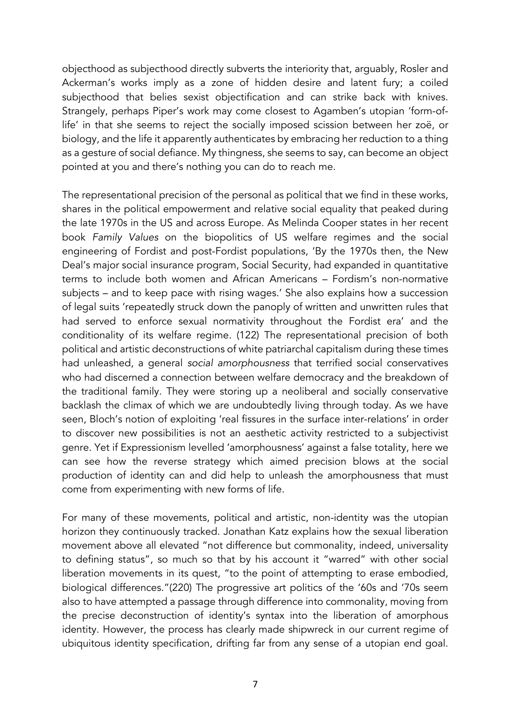objecthood as subjecthood directly subverts the interiority that, arguably, Rosler and Ackerman's works imply as a zone of hidden desire and latent fury; a coiled subjecthood that belies sexist objectification and can strike back with knives. Strangely, perhaps Piper's work may come closest to Agamben's utopian 'form-oflife' in that she seems to reject the socially imposed scission between her zoë, or biology, and the life it apparently authenticates by embracing her reduction to a thing as a gesture of social defiance. My thingness, she seems to say, can become an object pointed at you and there's nothing you can do to reach me.

The representational precision of the personal as political that we find in these works, shares in the political empowerment and relative social equality that peaked during the late 1970s in the US and across Europe. As Melinda Cooper states in her recent book *Family Values* on the biopolitics of US welfare regimes and the social engineering of Fordist and post-Fordist populations, 'By the 1970s then, the New Deal's major social insurance program, Social Security, had expanded in quantitative terms to include both women and African Americans – Fordism's non-normative subjects – and to keep pace with rising wages.' She also explains how a succession of legal suits 'repeatedly struck down the panoply of written and unwritten rules that had served to enforce sexual normativity throughout the Fordist era' and the conditionality of its welfare regime. (122) The representational precision of both political and artistic deconstructions of white patriarchal capitalism during these times had unleashed, a general *social amorphousness* that terrified social conservatives who had discerned a connection between welfare democracy and the breakdown of the traditional family. They were storing up a neoliberal and socially conservative backlash the climax of which we are undoubtedly living through today. As we have seen, Bloch's notion of exploiting 'real fissures in the surface inter-relations' in order to discover new possibilities is not an aesthetic activity restricted to a subjectivist genre. Yet if Expressionism levelled 'amorphousness' against a false totality, here we can see how the reverse strategy which aimed precision blows at the social production of identity can and did help to unleash the amorphousness that must come from experimenting with new forms of life.

For many of these movements, political and artistic, non-identity was the utopian horizon they continuously tracked. Jonathan Katz explains how the sexual liberation movement above all elevated "not difference but commonality, indeed, universality to defining status", so much so that by his account it "warred" with other social liberation movements in its quest, "to the point of attempting to erase embodied, biological differences."(220) The progressive art politics of the '60s and '70s seem also to have attempted a passage through difference into commonality, moving from the precise deconstruction of identity's syntax into the liberation of amorphous identity. However, the process has clearly made shipwreck in our current regime of ubiquitous identity specification, drifting far from any sense of a utopian end goal.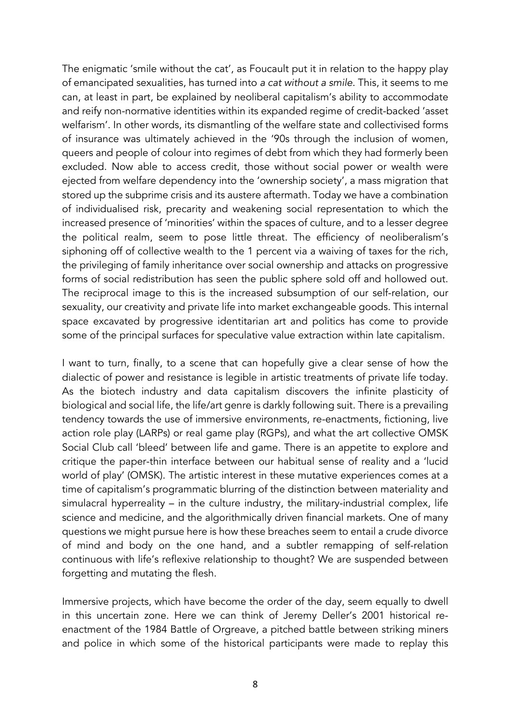The enigmatic 'smile without the cat', as Foucault put it in relation to the happy play of emancipated sexualities, has turned into *a cat without a smile*. This, it seems to me can, at least in part, be explained by neoliberal capitalism's ability to accommodate and reify non-normative identities within its expanded regime of credit-backed 'asset welfarism'. In other words, its dismantling of the welfare state and collectivised forms of insurance was ultimately achieved in the '90s through the inclusion of women, queers and people of colour into regimes of debt from which they had formerly been excluded. Now able to access credit, those without social power or wealth were ejected from welfare dependency into the 'ownership society', a mass migration that stored up the subprime crisis and its austere aftermath. Today we have a combination of individualised risk, precarity and weakening social representation to which the increased presence of 'minorities' within the spaces of culture, and to a lesser degree the political realm, seem to pose little threat. The efficiency of neoliberalism's siphoning off of collective wealth to the 1 percent via a waiving of taxes for the rich, the privileging of family inheritance over social ownership and attacks on progressive forms of social redistribution has seen the public sphere sold off and hollowed out. The reciprocal image to this is the increased subsumption of our self-relation, our sexuality, our creativity and private life into market exchangeable goods. This internal space excavated by progressive identitarian art and politics has come to provide some of the principal surfaces for speculative value extraction within late capitalism.

I want to turn, finally, to a scene that can hopefully give a clear sense of how the dialectic of power and resistance is legible in artistic treatments of private life today. As the biotech industry and data capitalism discovers the infinite plasticity of biological and social life, the life/art genre is darkly following suit. There is a prevailing tendency towards the use of immersive environments, re-enactments, fictioning, live action role play (LARPs) or real game play (RGPs), and what the art collective OMSK Social Club call 'bleed' between life and game. There is an appetite to explore and critique the paper-thin interface between our habitual sense of reality and a 'lucid world of play' (OMSK). The artistic interest in these mutative experiences comes at a time of capitalism's programmatic blurring of the distinction between materiality and simulacral hyperreality – in the culture industry, the military-industrial complex, life science and medicine, and the algorithmically driven financial markets. One of many questions we might pursue here is how these breaches seem to entail a crude divorce of mind and body on the one hand, and a subtler remapping of self-relation continuous with life's reflexive relationship to thought? We are suspended between forgetting and mutating the flesh.

Immersive projects, which have become the order of the day, seem equally to dwell in this uncertain zone. Here we can think of Jeremy Deller's 2001 historical reenactment of the 1984 Battle of Orgreave, a pitched battle between striking miners and police in which some of the historical participants were made to replay this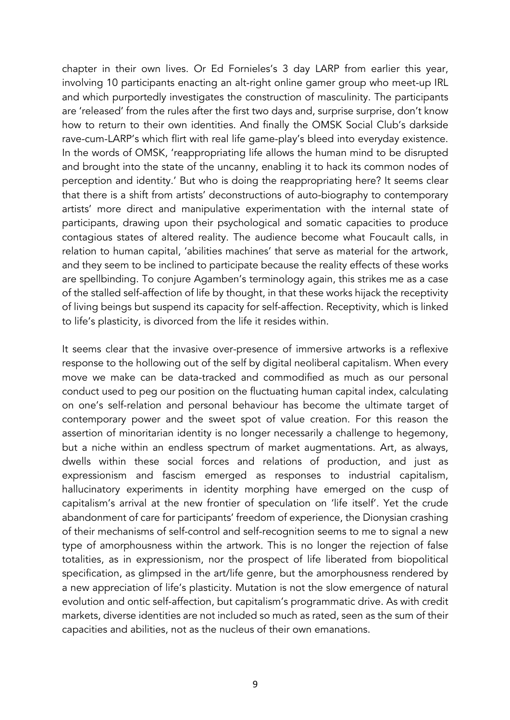chapter in their own lives. Or Ed Fornieles's 3 day LARP from earlier this year, involving 10 participants enacting an alt-right online gamer group who meet-up IRL and which purportedly investigates the construction of masculinity. The participants are 'released' from the rules after the first two days and, surprise surprise, don't know how to return to their own identities. And finally the OMSK Social Club's darkside rave-cum-LARP's which flirt with real life game-play's bleed into everyday existence. In the words of OMSK, 'reappropriating life allows the human mind to be disrupted and brought into the state of the uncanny, enabling it to hack its common nodes of perception and identity.' But who is doing the reappropriating here? It seems clear that there is a shift from artists' deconstructions of auto-biography to contemporary artists' more direct and manipulative experimentation with the internal state of participants, drawing upon their psychological and somatic capacities to produce contagious states of altered reality. The audience become what Foucault calls, in relation to human capital, 'abilities machines' that serve as material for the artwork, and they seem to be inclined to participate because the reality effects of these works are spellbinding. To conjure Agamben's terminology again, this strikes me as a case of the stalled self-affection of life by thought, in that these works hijack the receptivity of living beings but suspend its capacity for self-affection. Receptivity, which is linked to life's plasticity, is divorced from the life it resides within.

It seems clear that the invasive over-presence of immersive artworks is a reflexive response to the hollowing out of the self by digital neoliberal capitalism. When every move we make can be data-tracked and commodified as much as our personal conduct used to peg our position on the fluctuating human capital index, calculating on one's self-relation and personal behaviour has become the ultimate target of contemporary power and the sweet spot of value creation. For this reason the assertion of minoritarian identity is no longer necessarily a challenge to hegemony, but a niche within an endless spectrum of market augmentations. Art, as always, dwells within these social forces and relations of production, and just as expressionism and fascism emerged as responses to industrial capitalism, hallucinatory experiments in identity morphing have emerged on the cusp of capitalism's arrival at the new frontier of speculation on 'life itself'. Yet the crude abandonment of care for participants' freedom of experience, the Dionysian crashing of their mechanisms of self-control and self-recognition seems to me to signal a new type of amorphousness within the artwork. This is no longer the rejection of false totalities, as in expressionism, nor the prospect of life liberated from biopolitical specification, as glimpsed in the art/life genre, but the amorphousness rendered by a new appreciation of life's plasticity. Mutation is not the slow emergence of natural evolution and ontic self-affection, but capitalism's programmatic drive. As with credit markets, diverse identities are not included so much as rated, seen as the sum of their capacities and abilities, not as the nucleus of their own emanations.